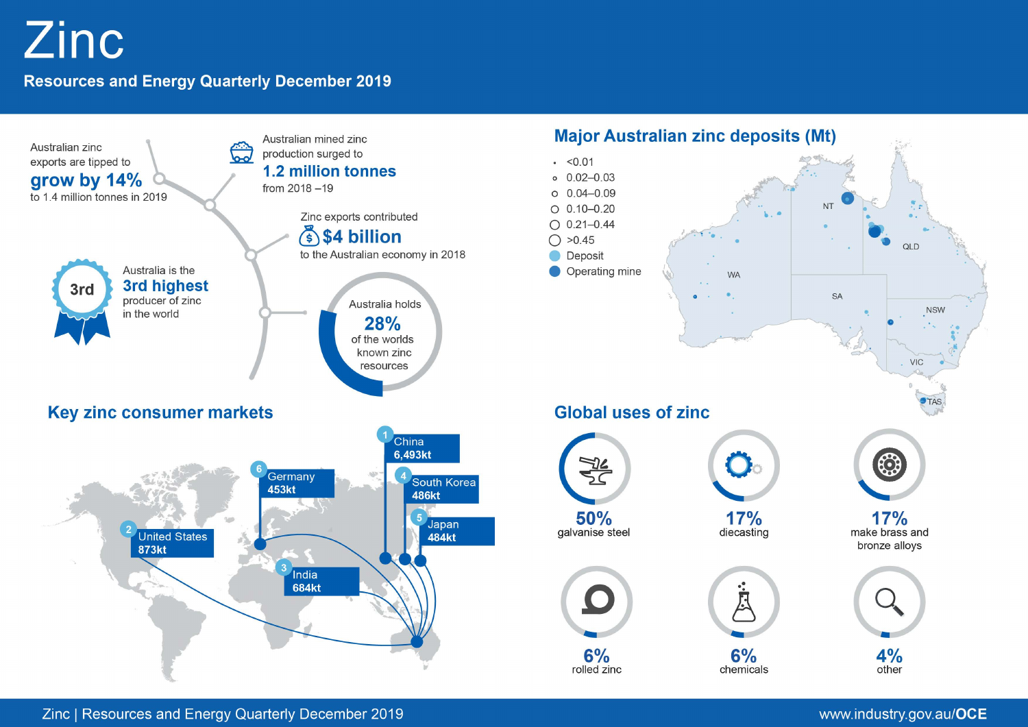# **Zinc**

## **Resources and Energy Quarterly December 2019**



## www.industry.gov.au/OCE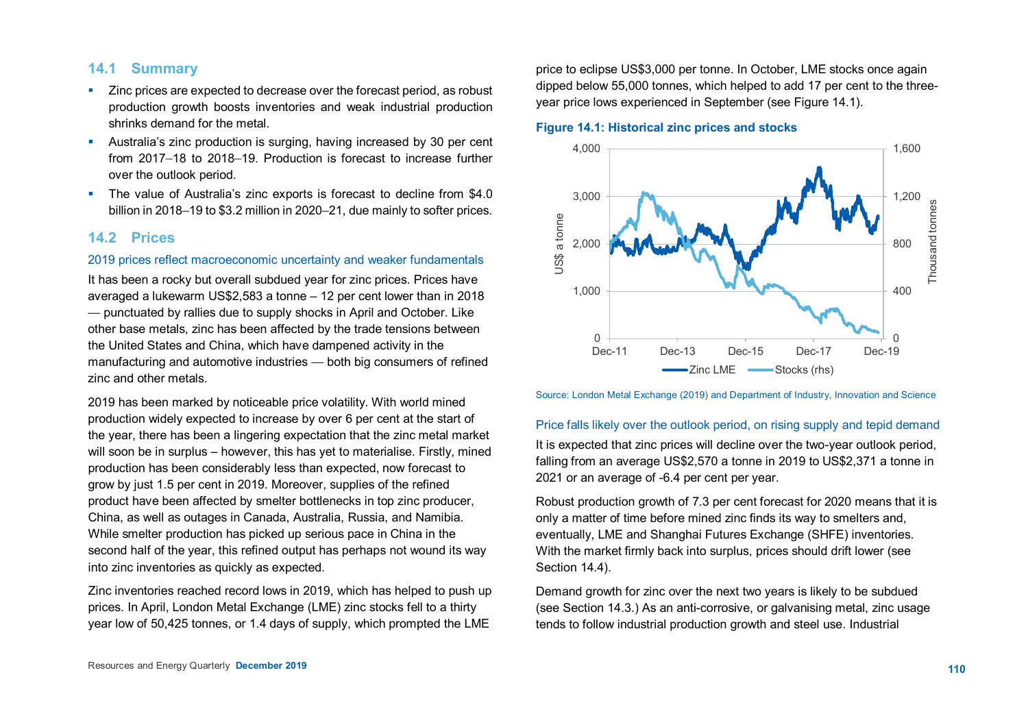## **14.1 Summary**

- **EXTERCH 2** Zinc prices are expected to decrease over the forecast period, as robust production growth boosts inventories and weak industrial production shrinks demand for the metal.
- Australia's zinc production is surging, having increased by 30 per cent from 2017–18 to 2018–19. Production is forecast to increase further over the outlook period.
- The value of Australia's zinc exports is forecast to decline from \$4.0 billion in 2018–19 to \$3.2 million in 2020–21, due mainly to softer prices.

## **14.2 Prices**

## 2019 prices reflect macroeconomic uncertainty and weaker fundamentals

It has been a rocky but overall subdued year for zinc prices. Prices have averaged a lukewarm US\$2,583 a tonne – 12 per cent lower than in 2018 — punctuated by rallies due to supply shocks in April and October. Like other base metals, zinc has been affected by the trade tensions between the United States and China, which have dampened activity in the manufacturing and automotive industries — both big consumers of refined zinc and other metals.

2019 has been marked by noticeable price volatility. With world mined production widely expected to increase by over 6 per cent at the start of the year, there has been a lingering expectation that the zinc metal market will soon be in surplus – however, this has yet to materialise. Firstly, mined production has been considerably less than expected, now forecast to grow by just 1.5 per cent in 2019. Moreover, supplies of the refined product have been affected by smelter bottlenecks in top zinc producer, China, as well as outages in Canada, Australia, Russia, and Namibia. While smelter production has picked up serious pace in China in the second half of the year, this refined output has perhaps not wound its way into zinc inventories as quickly as expected.

Zinc inventories reached record lows in 2019, which has helped to push up prices. In April, London Metal Exchange (LME) zinc stocks fell to a thirty year low of 50,425 tonnes, or 1.4 days of supply, which prompted the LME

price to eclipse US\$3,000 per tonne. In October, LME stocks once again dipped below 55,000 tonnes, which helped to add 17 per cent to the threeyear price lows experienced in September (see Figure 14.1).

**Figure 14.1: Historical zinc prices and stocks**



Source: London Metal Exchange (2019) and Department of Industry, Innovation and Science

#### Price falls likely over the outlook period, on rising supply and tepid demand

It is expected that zinc prices will decline over the two-year outlook period, falling from an average US\$2,570 a tonne in 2019 to US\$2,371 a tonne in 2021 or an average of -6.4 per cent per year.

Robust production growth of 7.3 per cent forecast for 2020 means that it is only a matter of time before mined zinc finds its way to smelters and, eventually, LME and Shanghai Futures Exchange (SHFE) inventories. With the market firmly back into surplus, prices should drift lower (see Section 14.4).

Demand growth for zinc over the next two years is likely to be subdued (see Section 14.3.) As an anti-corrosive, or galvanising metal, zinc usage tends to follow industrial production growth and steel use. Industrial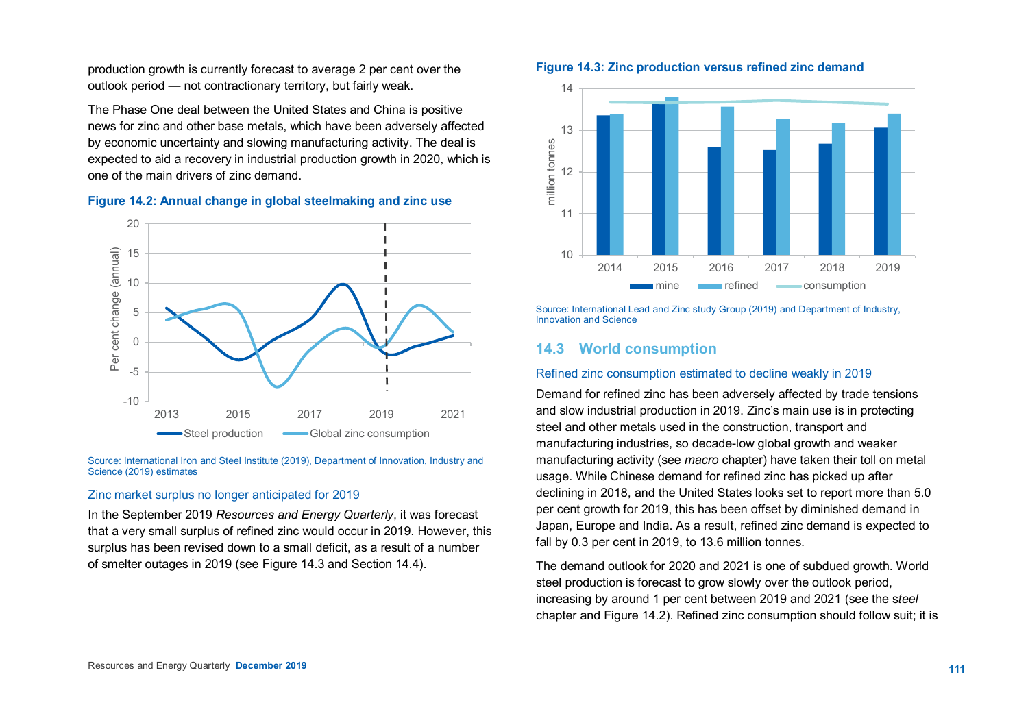production growth is currently forecast to average 2 per cent over the outlook period — not contractionary territory, but fairly weak.

The Phase One deal between the United States and China is positive news for zinc and other base metals, which have been adversely affected by economic uncertainty and slowing manufacturing activity. The deal is expected to aid a recovery in industrial production growth in 2020, which is one of the main drivers of zinc demand.





Source: International Iron and Steel Institute (2019), Department of Innovation, Industry and Science (2019) estimates

#### Zinc market surplus no longer anticipated for 2019

In the September 2019 *Resources and Energy Quarterly*, it was forecast that a very small surplus of refined zinc would occur in 2019. However, this surplus has been revised down to a small deficit, as a result of a number of smelter outages in 2019 (see Figure 14.3 and Section 14.4).





Source: International Lead and Zinc study Group (2019) and Department of Industry, Innovation and Science

## **14.3 World consumption**

#### Refined zinc consumption estimated to decline weakly in 2019

Demand for refined zinc has been adversely affected by trade tensions and slow industrial production in 2019. Zinc's main use is in protecting steel and other metals used in the construction, transport and manufacturing industries, so decade-low global growth and weaker manufacturing activity (see *macro* chapter) have taken their toll on metal usage. While Chinese demand for refined zinc has picked up after declining in 2018, and the United States looks set to report more than 5.0 per cent growth for 2019, this has been offset by diminished demand in Japan, Europe and India. As a result, refined zinc demand is expected to fall by 0.3 per cent in 2019, to 13.6 million tonnes.

The demand outlook for 2020 and 2021 is one of subdued growth. World steel production is forecast to grow slowly over the outlook period, increasing by around 1 per cent between 2019 and 2021 (see the s*teel* chapter and Figure 14.2). Refined zinc consumption should follow suit; it is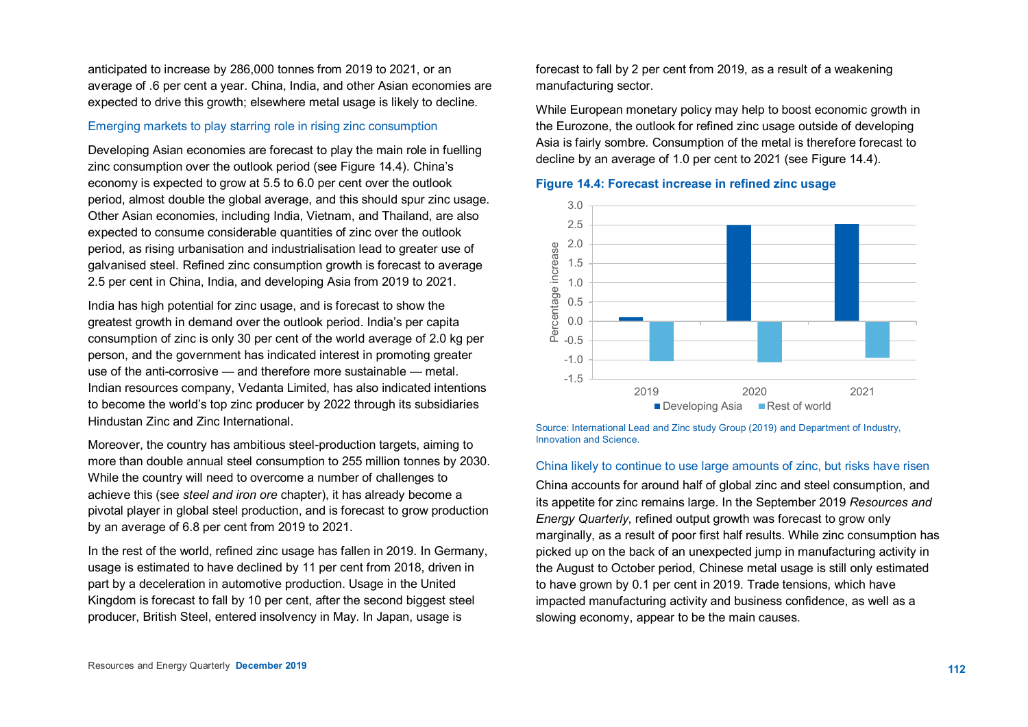anticipated to increase by 286,000 tonnes from 2019 to 2021, or an average of .6 per cent a year. China, India, and other Asian economies are expected to drive this growth; elsewhere metal usage is likely to decline.

#### Emerging markets to play starring role in rising zinc consumption

Developing Asian economies are forecast to play the main role in fuelling zinc consumption over the outlook period (see Figure 14.4). China's economy is expected to grow at 5.5 to 6.0 per cent over the outlook period, almost double the global average, and this should spur zinc usage. Other Asian economies, including India, Vietnam, and Thailand, are also expected to consume considerable quantities of zinc over the outlook period, as rising urbanisation and industrialisation lead to greater use of galvanised steel. Refined zinc consumption growth is forecast to average 2.5 per cent in China, India, and developing Asia from 2019 to 2021.

India has high potential for zinc usage, and is forecast to show the greatest growth in demand over the outlook period. India's per capita consumption of zinc is only 30 per cent of the world average of 2.0 kg per person, and the government has indicated interest in promoting greater use of the anti-corrosive — and therefore more sustainable — metal. Indian resources company, Vedanta Limited, has also indicated intentions to become the world's top zinc producer by 2022 through its subsidiaries Hindustan Zinc and Zinc International.

Moreover, the country has ambitious steel-production targets, aiming to more than double annual steel consumption to 255 million tonnes by 2030. While the country will need to overcome a number of challenges to achieve this (see *steel and iron ore* chapter), it has already become a pivotal player in global steel production, and is forecast to grow production by an average of 6.8 per cent from 2019 to 2021.

In the rest of the world, refined zinc usage has fallen in 2019. In Germany, usage is estimated to have declined by 11 per cent from 2018, driven in part by a deceleration in automotive production. Usage in the United Kingdom is forecast to fall by 10 per cent, after the second biggest steel producer, British Steel, entered insolvency in May. In Japan, usage is

forecast to fall by 2 per cent from 2019, as a result of a weakening manufacturing sector.

While European monetary policy may help to boost economic growth in the Eurozone, the outlook for refined zinc usage outside of developing Asia is fairly sombre. Consumption of the metal is therefore forecast to decline by an average of 1.0 per cent to 2021 (see Figure 14.4).





Source: International Lead and Zinc study Group (2019) and Department of Industry, Innovation and Science.

#### China likely to continue to use large amounts of zinc, but risks have risen

China accounts for around half of global zinc and steel consumption, and its appetite for zinc remains large. In the September 2019 *Resources and Energy Quarterly*, refined output growth was forecast to grow only marginally, as a result of poor first half results. While zinc consumption has picked up on the back of an unexpected jump in manufacturing activity in the August to October period, Chinese metal usage is still only estimated to have grown by 0.1 per cent in 2019. Trade tensions, which have impacted manufacturing activity and business confidence, as well as a slowing economy, appear to be the main causes.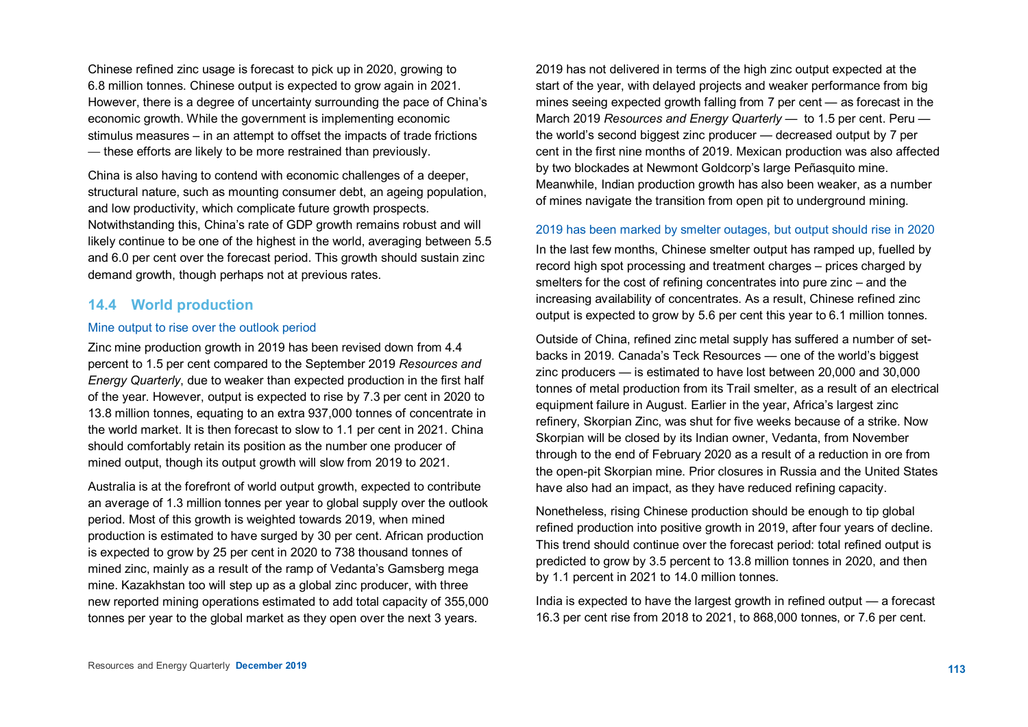Chinese refined zinc usage is forecast to pick up in 2020, growing to 6.8 million tonnes. Chinese output is expected to grow again in 2021. However, there is a degree of uncertainty surrounding the pace of China's economic growth. While the government is implementing economic stimulus measures – in an attempt to offset the impacts of trade frictions — these efforts are likely to be more restrained than previously.

China is also having to contend with economic challenges of a deeper, structural nature, such as mounting consumer debt, an ageing population, and low productivity, which complicate future growth prospects. Notwithstanding this, China's rate of GDP growth remains robust and will likely continue to be one of the highest in the world, averaging between 5.5 and 6.0 per cent over the forecast period. This growth should sustain zinc demand growth, though perhaps not at previous rates.

## **14.4 World production**

#### Mine output to rise over the outlook period

Zinc mine production growth in 2019 has been revised down from 4.4 percent to 1.5 per cent compared to the September 2019 *Resources and Energy Quarterly*, due to weaker than expected production in the first half of the year. However, output is expected to rise by 7.3 per cent in 2020 to 13.8 million tonnes, equating to an extra 937,000 tonnes of concentrate in the world market. It is then forecast to slow to 1.1 per cent in 2021. China should comfortably retain its position as the number one producer of mined output, though its output growth will slow from 2019 to 2021.

Australia is at the forefront of world output growth, expected to contribute an average of 1.3 million tonnes per year to global supply over the outlook period. Most of this growth is weighted towards 2019, when mined production is estimated to have surged by 30 per cent. African production is expected to grow by 25 per cent in 2020 to 738 thousand tonnes of mined zinc, mainly as a result of the ramp of Vedanta's Gamsberg mega mine. Kazakhstan too will step up as a global zinc producer, with three new reported mining operations estimated to add total capacity of 355,000 tonnes per year to the global market as they open over the next 3 years.

2019 has not delivered in terms of the high zinc output expected at the start of the year, with delayed projects and weaker performance from big mines seeing expected growth falling from 7 per cent — as forecast in the March 2019 *Resources and Energy Quarterly* — to 1.5 per cent. Peru the world's second biggest zinc producer — decreased output by 7 per cent in the first nine months of 2019. Mexican production was also affected by two blockades at Newmont Goldcorp's large Peñasquito mine. Meanwhile, Indian production growth has also been weaker, as a number of mines navigate the transition from open pit to underground mining.

#### 2019 has been marked by smelter outages, but output should rise in 2020

In the last few months, Chinese smelter output has ramped up, fuelled by record high spot processing and treatment charges – prices charged by smelters for the cost of refining concentrates into pure zinc – and the increasing availability of concentrates. As a result, Chinese refined zinc output is expected to grow by 5.6 per cent this year to 6.1 million tonnes.

Outside of China, refined zinc metal supply has suffered a number of setbacks in 2019. Canada's Teck Resources — one of the world's biggest zinc producers — is estimated to have lost between 20,000 and 30,000 tonnes of metal production from its Trail smelter, as a result of an electrical equipment failure in August. Earlier in the year, Africa's largest zinc refinery, Skorpian Zinc, was shut for five weeks because of a strike. Now Skorpian will be closed by its Indian owner, Vedanta, from November through to the end of February 2020 as a result of a reduction in ore from the open-pit Skorpian mine. Prior closures in Russia and the United States have also had an impact, as they have reduced refining capacity.

Nonetheless, rising Chinese production should be enough to tip global refined production into positive growth in 2019, after four years of decline. This trend should continue over the forecast period: total refined output is predicted to grow by 3.5 percent to 13.8 million tonnes in 2020, and then by 1.1 percent in 2021 to 14.0 million tonnes.

India is expected to have the largest growth in refined output — a forecast 16.3 per cent rise from 2018 to 2021, to 868,000 tonnes, or 7.6 per cent.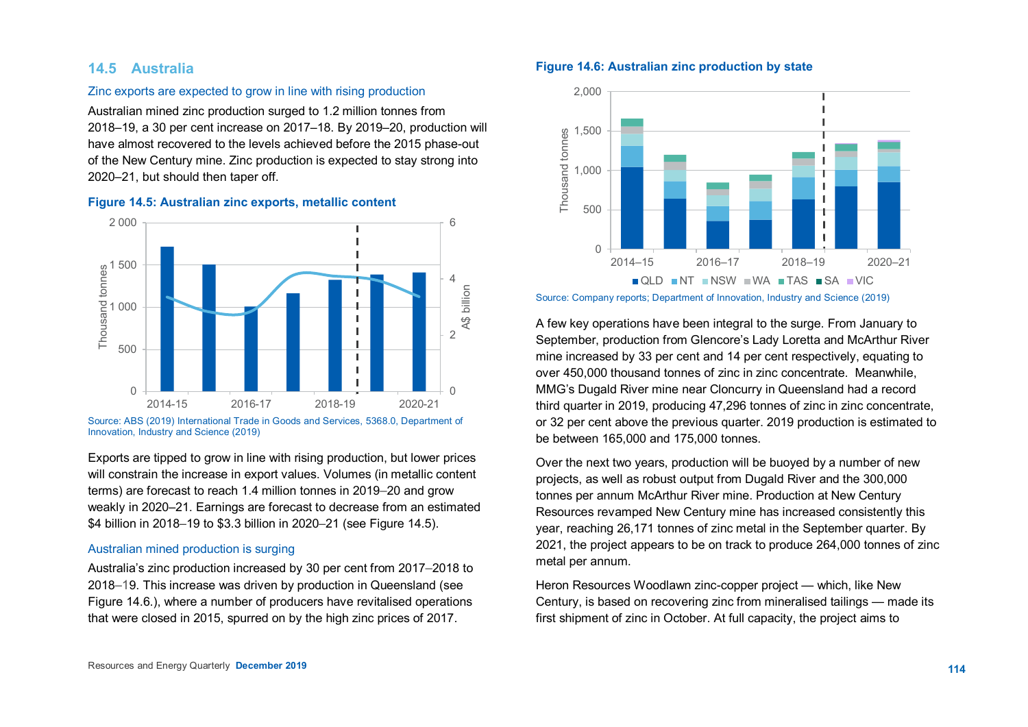## **14.5 Australia**

#### Zinc exports are expected to grow in line with rising production

Australian mined zinc production surged to 1.2 million tonnes from 2018–19, a 30 per cent increase on 2017–18. By 2019–20, production will have almost recovered to the levels achieved before the 2015 phase-out of the New Century mine. Zinc production is expected to stay strong into 2020–21, but should then taper off.

#### **Figure 14.5: Australian zinc exports, metallic content**



Source: ABS (2019) International Trade in Goods and Services, 5368.0, Department of<br>Innovation, Industry and Science (2019) Innovation, Industry and Science (2019)

Exports are tipped to grow in line with rising production, but lower prices will constrain the increase in export values. Volumes (in metallic content terms) are forecast to reach 1.4 million tonnes in 2019–20 and grow weakly in 2020–21. Earnings are forecast to decrease from an estimated \$4 billion in 2018–19 to \$3.3 billion in 2020–21 (see Figure 14.5).

#### Australian mined production is surging

Australia's zinc production increased by 30 per cent from 2017–2018 to 2018–19. This increase was driven by production in Queensland (see Figure 14.6.), where a number of producers have revitalised operations that were closed in 2015, spurred on by the high zinc prices of 2017.

## **Figure 14.6: Australian zinc production by state**



Source: Company reports; Department of Innovation, Industry and Science (2019)

A few key operations have been integral to the surge. From January to September, production from Glencore's Lady Loretta and McArthur River mine increased by 33 per cent and 14 per cent respectively, equating to over 450,000 thousand tonnes of zinc in zinc concentrate. Meanwhile, MMG's Dugald River mine near Cloncurry in Queensland had a record third quarter in 2019, producing 47,296 tonnes of zinc in zinc concentrate, or 32 per cent above the previous quarter. 2019 production is estimated to be between 165,000 and 175,000 tonnes.

Over the next two years, production will be buoyed by a number of new projects, as well as robust output from Dugald River and the 300,000 tonnes per annum McArthur River mine. Production at New Century Resources revamped New Century mine has increased consistently this year, reaching 26,171 tonnes of zinc metal in the September quarter. By 2021, the project appears to be on track to produce 264,000 tonnes of zinc metal per annum.

Heron Resources Woodlawn zinc-copper project — which, like New Century, is based on recovering zinc from mineralised tailings — made its first shipment of zinc in October. At full capacity, the project aims to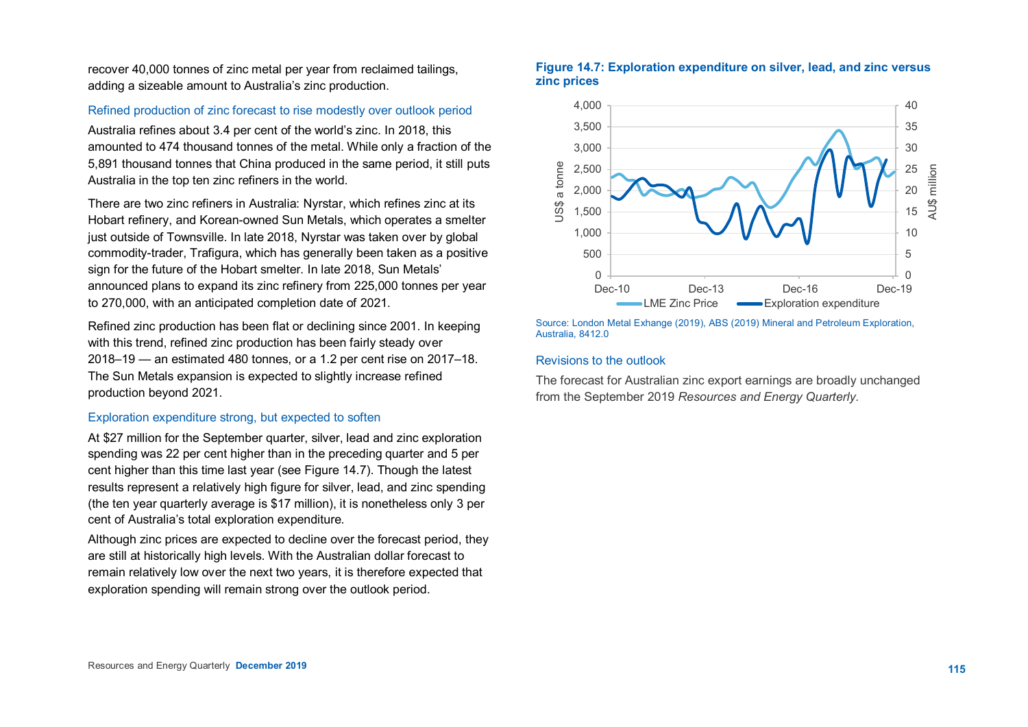recover 40,000 tonnes of zinc metal per year from reclaimed tailings, adding a sizeable amount to Australia's zinc production.

#### Refined production of zinc forecast to rise modestly over outlook period

Australia refines about 3.4 per cent of the world's zinc. In 2018, this amounted to 474 thousand tonnes of the metal. While only a fraction of the 5,891 thousand tonnes that China produced in the same period, it still puts Australia in the top ten zinc refiners in the world.

There are two zinc refiners in Australia: Nyrstar, which refines zinc at its Hobart refinery, and Korean-owned Sun Metals, which operates a smelter just outside of Townsville. In late 2018, Nyrstar was taken over by global commodity-trader, Trafigura, which has generally been taken as a positive sign for the future of the Hobart smelter. In late 2018, Sun Metals' announced plans to expand its zinc refinery from 225,000 tonnes per year to 270,000, with an anticipated completion date of 2021.

Refined zinc production has been flat or declining since 2001. In keeping with this trend, refined zinc production has been fairly steady over 2018–19 — an estimated 480 tonnes, or a 1.2 per cent rise on 2017–18. The Sun Metals expansion is expected to slightly increase refined production beyond 2021.

#### Exploration expenditure strong, but expected to soften

At \$27 million for the September quarter, silver, lead and zinc exploration spending was 22 per cent higher than in the preceding quarter and 5 per cent higher than this time last year (see Figure 14.7). Though the latest results represent a relatively high figure for silver, lead, and zinc spending (the ten year quarterly average is \$17 million), it is nonetheless only 3 per cent of Australia's total exploration expenditure.

Although zinc prices are expected to decline over the forecast period, they are still at historically high levels. With the Australian dollar forecast to remain relatively low over the next two years, it is therefore expected that exploration spending will remain strong over the outlook period.





Source: London Metal Exhange (2019), ABS (2019) Mineral and Petroleum Exploration, Australia, 8412.0

#### Revisions to the outlook

The forecast for Australian zinc export earnings are broadly unchanged from the September 2019 *Resources and Energy Quarterly.*